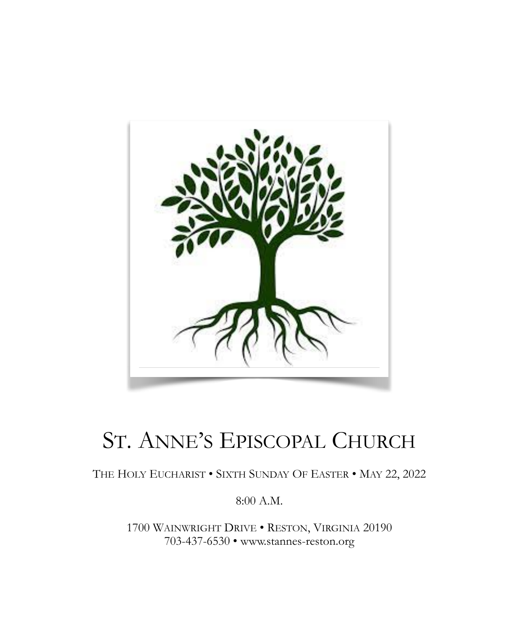

# ST. ANNE'S EPISCOPAL CHURCH

THE HOLY EUCHARIST • SIXTH SUNDAY OF EASTER • MAY 22, 2022

8:00 A.M.

1700 WAINWRIGHT DRIVE • RESTON, VIRGINIA 20190 703-437-6530 • www.stannes-reston.org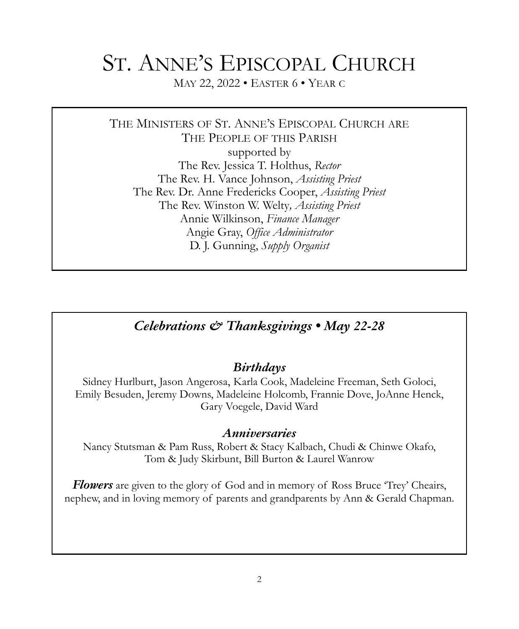# ST. ANNE'S EPISCOPAL CHURCH

MAY 22, 2022 • EASTER 6 • YEAR C

THE MINISTERS OF ST. ANNE'S EPISCOPAL CHURCH ARE THE PEOPLE OF THIS PARISH supported by The Rev. Jessica T. Holthus, *Rector* The Rev. H. Vance Johnson, *Assisting Priest* The Rev. Dr. Anne Fredericks Cooper, *Assisting Priest* The Rev. Winston W. Welty*, Assisting Priest* Annie Wilkinson, *Finance Manager* Angie Gray, *Office Administrator* D. J. Gunning, *Supply Organist*

# *Celebrations & Thanksgivings • May 22-28*

## *Birthdays*

Sidney Hurlburt, Jason Angerosa, Karla Cook, Madeleine Freeman, Seth Goloci, Emily Besuden, Jeremy Downs, Madeleine Holcomb, Frannie Dove, JoAnne Henck, Gary Voegele, David Ward

### *Anniversaries*

Nancy Stutsman & Pam Russ, Robert & Stacy Kalbach, Chudi & Chinwe Okafo, Tom & Judy Skirbunt, Bill Burton & Laurel Wanrow

*Flowers* are given to the glory of God and in memory of Ross Bruce 'Trey' Cheairs, nephew, and in loving memory of parents and grandparents by Ann & Gerald Chapman.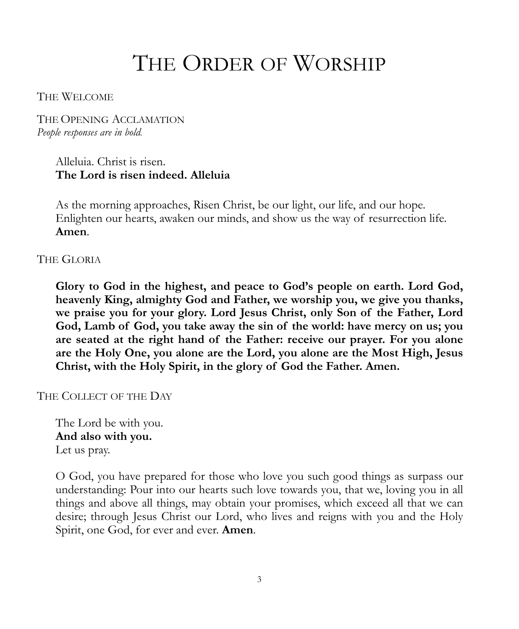# THE ORDER OF WORSHIP

THE WELCOME

THE OPENING ACCLAMATION *People responses are in bold.*

> Alleluia. Christ is risen. **The Lord is risen indeed. Alleluia**

As the morning approaches, Risen Christ, be our light, our life, and our hope. Enlighten our hearts, awaken our minds, and show us the way of resurrection life. **Amen**.

THE GLORIA

**Glory to God in the highest, and peace to God's people on earth. Lord God, heavenly King, almighty God and Father, we worship you, we give you thanks, we praise you for your glory. Lord Jesus Christ, only Son of the Father, Lord God, Lamb of God, you take away the sin of the world: have mercy on us; you are seated at the right hand of the Father: receive our prayer. For you alone are the Holy One, you alone are the Lord, you alone are the Most High, Jesus Christ, with the Holy Spirit, in the glory of God the Father. Amen.** 

THE COLLECT OF THE DAY

The Lord be with you. **And also with you.** Let us pray.

O God, you have prepared for those who love you such good things as surpass our understanding: Pour into our hearts such love towards you, that we, loving you in all things and above all things, may obtain your promises, which exceed all that we can desire; through Jesus Christ our Lord, who lives and reigns with you and the Holy Spirit, one God, for ever and ever. **Amen**.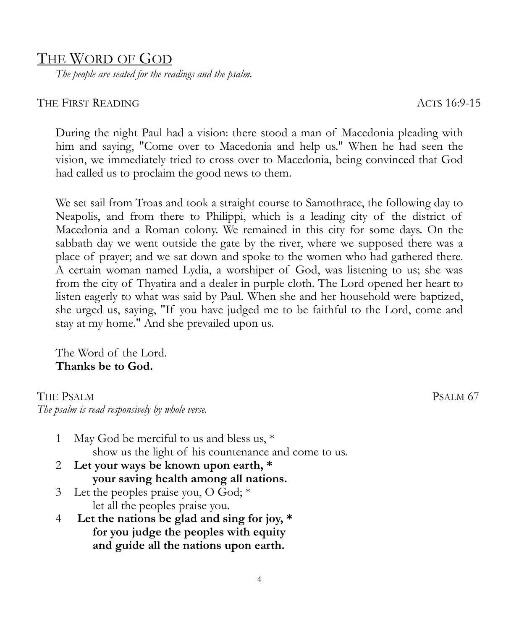# THE WORD OF GOD

*The people are seated for the readings and the psalm.*

#### THE FIRST READINGACTS 16:9-15

During the night Paul had a vision: there stood a man of Macedonia pleading with him and saying, "Come over to Macedonia and help us." When he had seen the vision, we immediately tried to cross over to Macedonia, being convinced that God had called us to proclaim the good news to them.

We set sail from Troas and took a straight course to Samothrace, the following day to Neapolis, and from there to Philippi, which is a leading city of the district of Macedonia and a Roman colony. We remained in this city for some days. On the sabbath day we went outside the gate by the river, where we supposed there was a place of prayer; and we sat down and spoke to the women who had gathered there. A certain woman named Lydia, a worshiper of God, was listening to us; she was from the city of Thyatira and a dealer in purple cloth. The Lord opened her heart to listen eagerly to what was said by Paul. When she and her household were baptized, she urged us, saying, "If you have judged me to be faithful to the Lord, come and stay at my home." And she prevailed upon us.

The Word of the Lord. **Thanks be to God.**

#### THE PSALM 67

*The psalm is read responsively by whole verse.*

- 1 May God be merciful to us and bless us, \* show us the light of his countenance and come to us.
- 2 **Let your ways be known upon earth, \* your saving health among all nations.**
- 3 Let the peoples praise you, O God; \* let all the peoples praise you.
- 4 **Let the nations be glad and sing for joy, \* for you judge the peoples with equity and guide all the nations upon earth.**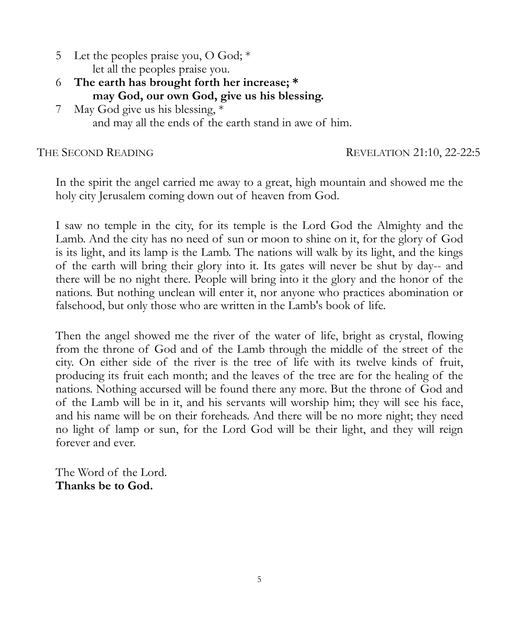- 5 Let the peoples praise you, O God; \* let all the peoples praise you.
- 6 **The earth has brought forth her increase; \* may God, our own God, give us his blessing.**
- 7 May God give us his blessing, \* and may all the ends of the earth stand in awe of him.

#### THE SECOND READING REVELATION 21:10, 22-22:5

In the spirit the angel carried me away to a great, high mountain and showed me the holy city Jerusalem coming down out of heaven from God.

I saw no temple in the city, for its temple is the Lord God the Almighty and the Lamb. And the city has no need of sun or moon to shine on it, for the glory of God is its light, and its lamp is the Lamb. The nations will walk by its light, and the kings of the earth will bring their glory into it. Its gates will never be shut by day-- and there will be no night there. People will bring into it the glory and the honor of the nations. But nothing unclean will enter it, nor anyone who practices abomination or falsehood, but only those who are written in the Lamb's book of life.

Then the angel showed me the river of the water of life, bright as crystal, flowing from the throne of God and of the Lamb through the middle of the street of the city. On either side of the river is the tree of life with its twelve kinds of fruit, producing its fruit each month; and the leaves of the tree are for the healing of the nations. Nothing accursed will be found there any more. But the throne of God and of the Lamb will be in it, and his servants will worship him; they will see his face, and his name will be on their foreheads. And there will be no more night; they need no light of lamp or sun, for the Lord God will be their light, and they will reign forever and ever.

The Word of the Lord. **Thanks be to God.**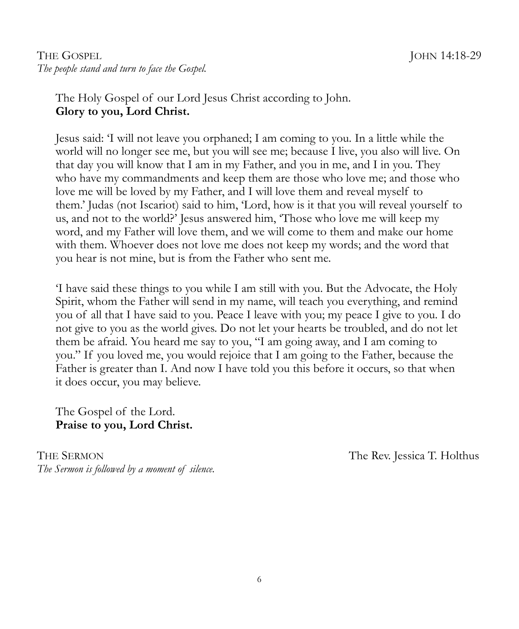THE GOSPEL **JOHN 14:18-29** *The people stand and turn to face the Gospel.*

#### The Holy Gospel of our Lord Jesus Christ according to John. **Glory to you, Lord Christ.**

Jesus said: 'I will not leave you orphaned; I am coming to you. In a little while the world will no longer see me, but you will see me; because I live, you also will live. On that day you will know that I am in my Father, and you in me, and I in you. They who have my commandments and keep them are those who love me; and those who love me will be loved by my Father, and I will love them and reveal myself to them.' Judas (not Iscariot) said to him, 'Lord, how is it that you will reveal yourself to us, and not to the world?' Jesus answered him, 'Those who love me will keep my word, and my Father will love them, and we will come to them and make our home with them. Whoever does not love me does not keep my words; and the word that you hear is not mine, but is from the Father who sent me.

'I have said these things to you while I am still with you. But the Advocate, the Holy Spirit, whom the Father will send in my name, will teach you everything, and remind you of all that I have said to you. Peace I leave with you; my peace I give to you. I do not give to you as the world gives. Do not let your hearts be troubled, and do not let them be afraid. You heard me say to you, "I am going away, and I am coming to you." If you loved me, you would rejoice that I am going to the Father, because the Father is greater than I. And now I have told you this before it occurs, so that when it does occur, you may believe.

The Gospel of the Lord. **Praise to you, Lord Christ.**

THE SERMON THE SERMON *The Sermon is followed by a moment of silence.*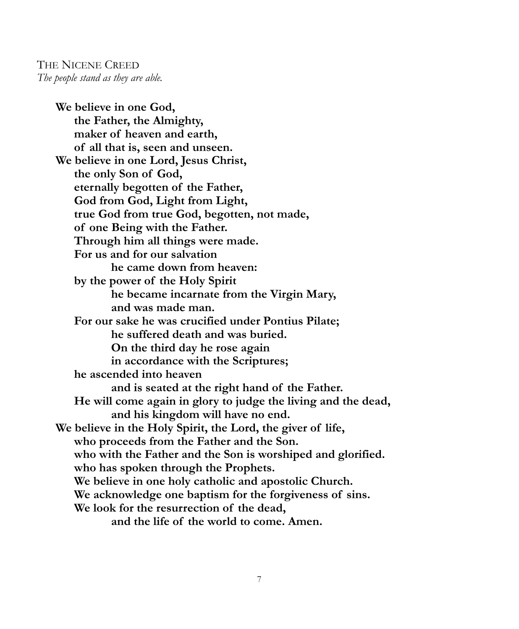THE NICENE CREED *The people stand as they are able.*

> **We believe in one God, the Father, the Almighty, maker of heaven and earth, of all that is, seen and unseen. We believe in one Lord, Jesus Christ, the only Son of God, eternally begotten of the Father, God from God, Light from Light, true God from true God, begotten, not made, of one Being with the Father. Through him all things were made. For us and for our salvation he came down from heaven: by the power of the Holy Spirit he became incarnate from the Virgin Mary, and was made man. For our sake he was crucified under Pontius Pilate; he suffered death and was buried. On the third day he rose again in accordance with the Scriptures; he ascended into heaven and is seated at the right hand of the Father. He will come again in glory to judge the living and the dead, and his kingdom will have no end. We believe in the Holy Spirit, the Lord, the giver of life, who proceeds from the Father and the Son. who with the Father and the Son is worshiped and glorified. who has spoken through the Prophets. We believe in one holy catholic and apostolic Church. We acknowledge one baptism for the forgiveness of sins. We look for the resurrection of the dead, and the life of the world to come. Amen.**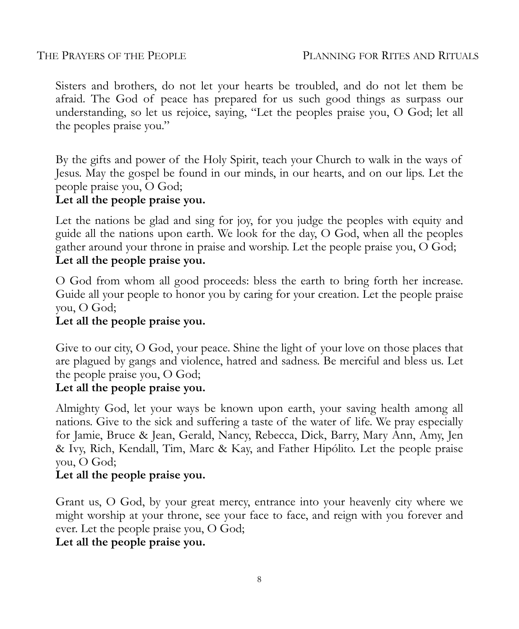Sisters and brothers, do not let your hearts be troubled, and do not let them be afraid. The God of peace has prepared for us such good things as surpass our understanding, so let us rejoice, saying, "Let the peoples praise you, O God; let all the peoples praise you."

By the gifts and power of the Holy Spirit, teach your Church to walk in the ways of Jesus. May the gospel be found in our minds, in our hearts, and on our lips. Let the people praise you, O God;

### **Let all the people praise you.**

Let the nations be glad and sing for joy, for you judge the peoples with equity and guide all the nations upon earth. We look for the day, O God, when all the peoples gather around your throne in praise and worship. Let the people praise you, O God;

## **Let all the people praise you.**

O God from whom all good proceeds: bless the earth to bring forth her increase. Guide all your people to honor you by caring for your creation. Let the people praise you, O God;

### **Let all the people praise you.**

Give to our city, O God, your peace. Shine the light of your love on those places that are plagued by gangs and violence, hatred and sadness. Be merciful and bless us. Let the people praise you, O God;

### **Let all the people praise you.**

Almighty God, let your ways be known upon earth, your saving health among all nations. Give to the sick and suffering a taste of the water of life. We pray especially for Jamie, Bruce & Jean, Gerald, Nancy, Rebecca, Dick, Barry, Mary Ann, Amy, Jen & Ivy, Rich, Kendall, Tim, Marc & Kay, and Father Hipólito. Let the people praise you, O God;

### **Let all the people praise you.**

Grant us, O God, by your great mercy, entrance into your heavenly city where we might worship at your throne, see your face to face, and reign with you forever and ever. Let the people praise you, O God;

### **Let all the people praise you.**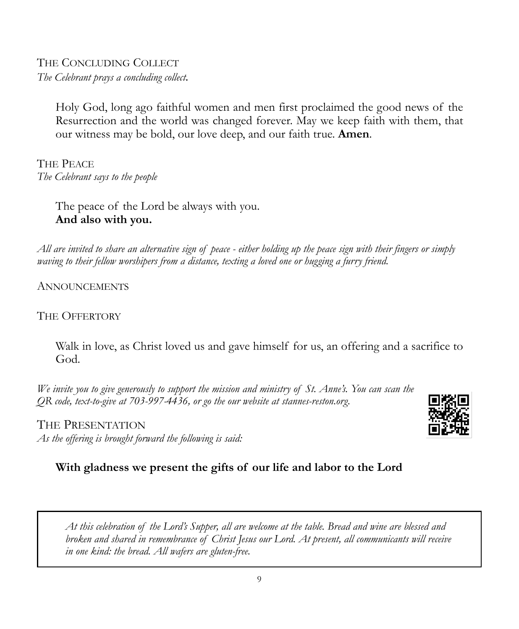THE CONCLUDING COLLECT *The Celebrant prays a concluding collect.*

> Holy God, long ago faithful women and men first proclaimed the good news of the Resurrection and the world was changed forever. May we keep faith with them, that our witness may be bold, our love deep, and our faith true. **Amen**.

THE PEACE *The Celebrant says to the people*

> The peace of the Lord be always with you. **And also with you.**

*All are invited to share an alternative sign of peace - either holding up the peace sign with their fingers or simply waving to their fellow worshipers from a distance, texting a loved one or hugging a furry friend.*

**ANNOUNCEMENTS** 

THE OFFERTORY

Walk in love, as Christ loved us and gave himself for us, an offering and a sacrifice to God.

*We invite you to give generously to support the mission and ministry of St. Anne's. You can scan the QR code, text-to-give at 703-997-4436, or go the our website at stannes-reston.org.*

THE PRESENTATION *As the offering is brought forward the following is said:*



## **With gladness we present the gifts of our life and labor to the Lord**

*At this celebration of the Lord's Supper, all are welcome at the table. Bread and wine are blessed and broken and shared in remembrance of Christ Jesus our Lord. At present, all communicants will receive in one kind: the bread. All wafers are gluten-free.*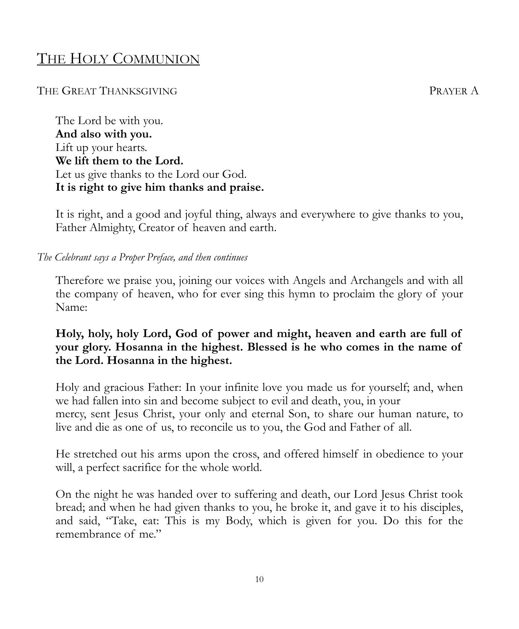# THE HOLY COMMUNION

#### THE GREAT THANKSGIVING **PRAYER A**

The Lord be with you. **And also with you.** Lift up your hearts. **We lift them to the Lord.** Let us give thanks to the Lord our God. **It is right to give him thanks and praise.**

It is right, and a good and joyful thing, always and everywhere to give thanks to you, Father Almighty, Creator of heaven and earth.

#### *The Celebrant says a Proper Preface, and then continues*

Therefore we praise you, joining our voices with Angels and Archangels and with all the company of heaven, who for ever sing this hymn to proclaim the glory of your Name:

#### **Holy, holy, holy Lord, God of power and might, heaven and earth are full of your glory. Hosanna in the highest. Blessed is he who comes in the name of the Lord. Hosanna in the highest.**

Holy and gracious Father: In your infinite love you made us for yourself; and, when we had fallen into sin and become subject to evil and death, you, in your mercy, sent Jesus Christ, your only and eternal Son, to share our human nature, to live and die as one of us, to reconcile us to you, the God and Father of all.

He stretched out his arms upon the cross, and offered himself in obedience to your will, a perfect sacrifice for the whole world.

On the night he was handed over to suffering and death, our Lord Jesus Christ took bread; and when he had given thanks to you, he broke it, and gave it to his disciples, and said, "Take, eat: This is my Body, which is given for you. Do this for the remembrance of me."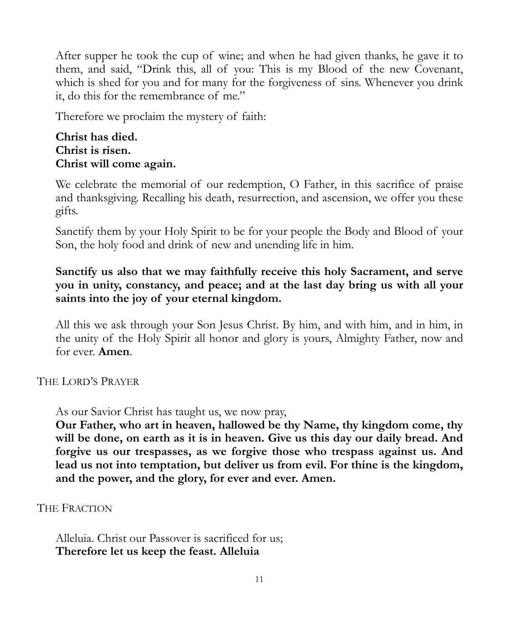After supper he took the cup of wine; and when he had given thanks, he gave it to them, and said, "Drink this, all of you: This is my Blood of the new Covenant, which is shed for you and for many for the forgiveness of sins. Whenever you drink it, do this for the remembrance of me."

Therefore we proclaim the mystery of faith:

#### **Christ has died. Christ is risen. Christ will come again.**

We celebrate the memorial of our redemption, O Father, in this sacrifice of praise and thanksgiving. Recalling his death, resurrection, and ascension, we offer you these gifts.

Sanctify them by your Holy Spirit to be for your people the Body and Blood of your Son, the holy food and drink of new and unending life in him.

#### **Sanctify us also that we may faithfully receive this holy Sacrament, and serve you in unity, constancy, and peace; and at the last day bring us with all your saints into the joy of your eternal kingdom.**

All this we ask through your Son Jesus Christ. By him, and with him, and in him, in the unity of the Holy Spirit all honor and glory is yours, Almighty Father, now and for ever. **Amen**.

THE LORD'S PRAYER

As our Savior Christ has taught us, we now pray,

**Our Father, who art in heaven, hallowed be thy Name, thy kingdom come, thy will be done, on earth as it is in heaven. Give us this day our daily bread. And forgive us our trespasses, as we forgive those who trespass against us. And lead us not into temptation, but deliver us from evil. For thine is the kingdom, and the power, and the glory, for ever and ever. Amen.** 

THE FRACTION

Alleluia. Christ our Passover is sacrificed for us; **Therefore let us keep the feast. Alleluia**